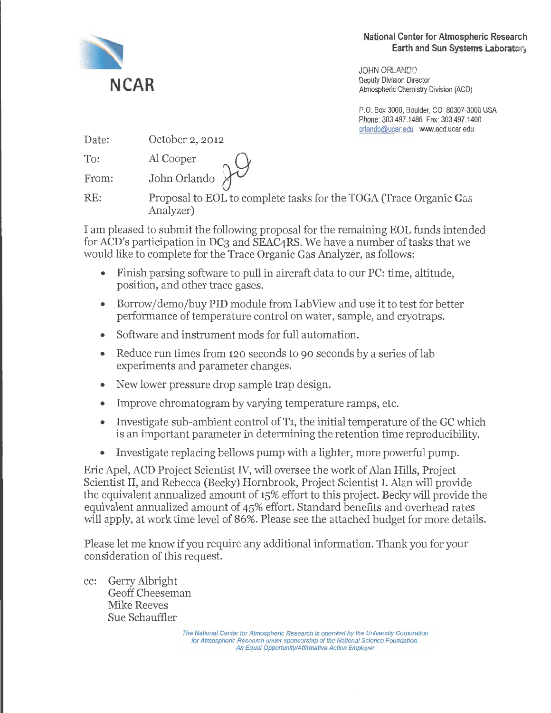

JOHN ORLANDO Deputy Division Director Atmospheric Chemistry Division (ACD)

P.O. Box 3000, Boulder, CO 80307-3000 USA Phone: 303.497.1486 Fax: 303.497.1400 orlando@ucar.edu \WIIN.acd.ucar.edu

| Date: | October 2, 2012           |
|-------|---------------------------|
| To:   |                           |
| From: | Al Cooper<br>John Orlando |

RE: Proposal to EOL to complete tasks for the TOGA (Trace Organic Gas Analyzer)

I am pleased to submit the following proposal for the remaining EOL funds intended for ACD's participation in DC3 and SEAC4RS. We have a number of tasks that we would like to complete for the Trace Organic Gas Analyzer, as follows:

- Finish parsing software to pull in aircraft data to our PC: time, altitude, position, and other trace gases.
- Borrow/demo/buy PID module from LabView and use it to test for better performance of temperature control on water, sample, and cryotraps.
- Software and instrument mods for full automation.
- Reduce run times from 120 seconds to 90 seconds by a series of lab experiments and parameter changes.
- New lower pressure drop sample trap design.
- Improve chromatogram by varying temperature ramps, etc.
- Investigate sub-ambient control of  $T_1$ , the initial temperature of the GC which is an important parameter in determining the retention time reproducibility.
- Investigate replacing bellows pump with a lighter, more powerful pump.

Eric Apel, ACD Project Scientist IV, will oversee the work of Alan Hills, Project Scientist II, and Rebecca (Becky) Hornbrook, Project Scientist I. Alan will provide the equivalent annualized amount of 15% effort to this project. Becky will provide the equivalent annualized amount of 45% effort. Standard benefits and overhead rates will apply, at work time level of 86%. Please see the attached budget for more details.

Please let me know if you require any additional information. Thank you for your consideration of this request.

cc: Gerry Albright Geoff Cheeseman Mike Reeves Sue Schauffler

> The National Center for Atmospheric Research is operated by the University Corporation for Atmospheric Research under sponsorship of the National Science Foundation. An Equal Opportunity/Affirmative Action Employer